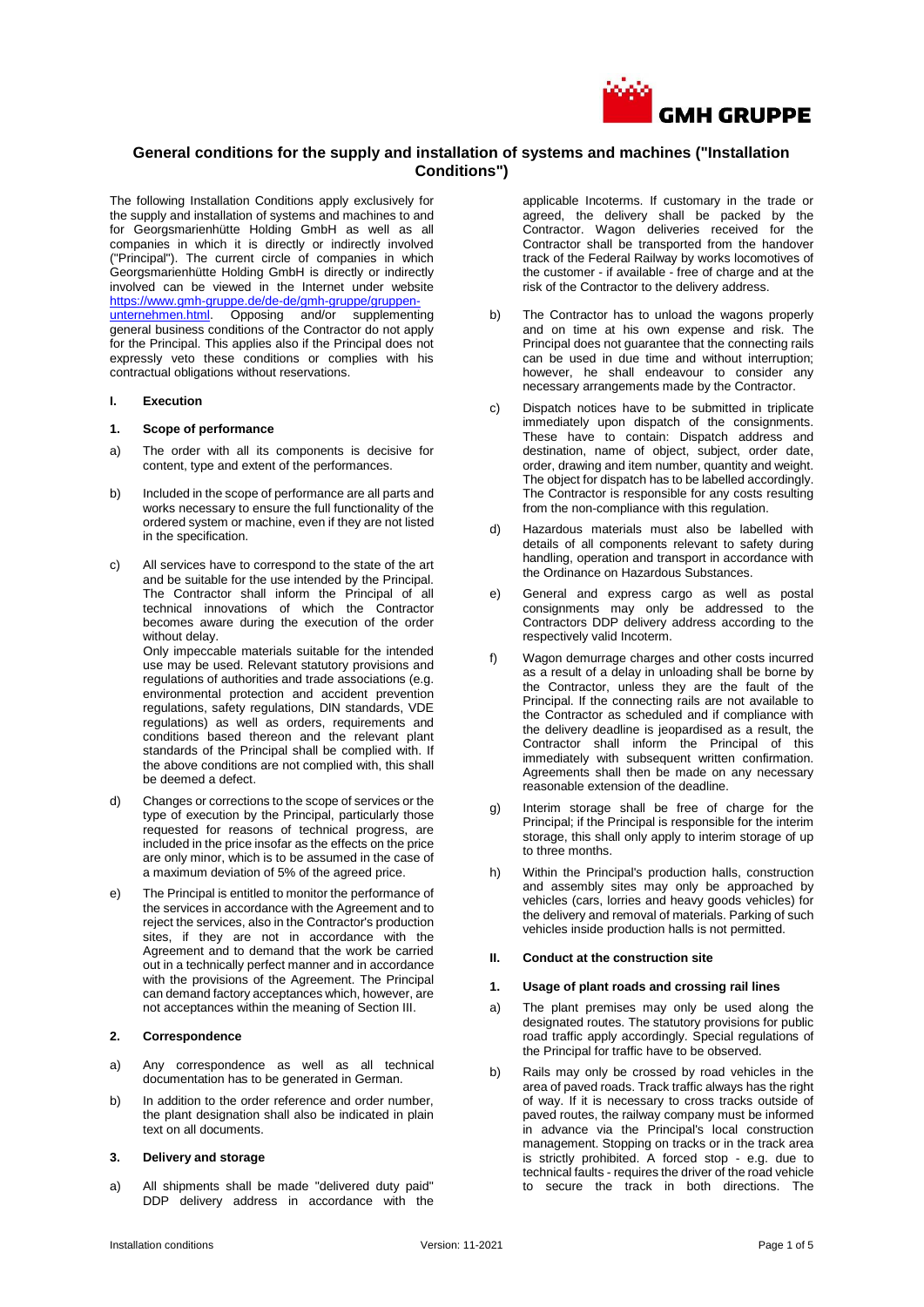

# **General conditions for the supply and installation of systems and machines ("Installation Conditions")**

The following Installation Conditions apply exclusively for the supply and installation of systems and machines to and for Georgsmarienhütte Holding GmbH as well as all companies in which it is directly or indirectly involved ("Principal"). The current circle of companies in which Georgsmarienhütte Holding GmbH is directly or indirectly involved can be viewed in the Internet under website [https://www.gmh-gruppe.de/de-de/gmh-gruppe/gruppen](https://www.gmh-gruppe.de/de-de/gmh-gruppe/gruppen-unternehmen.html)[unternehmen.html.](https://www.gmh-gruppe.de/de-de/gmh-gruppe/gruppen-unternehmen.html) Opposing and/or supplementing general business conditions of the Contractor do not apply for the Principal. This applies also if the Principal does not expressly veto these conditions or complies with his contractual obligations without reservations.

### **I. Execution**

### **1. Scope of performance**

- a) The order with all its components is decisive for content, type and extent of the performances.
- b) Included in the scope of performance are all parts and works necessary to ensure the full functionality of the ordered system or machine, even if they are not listed in the specification.
- c) All services have to correspond to the state of the art and be suitable for the use intended by the Principal. The Contractor shall inform the Principal of all technical innovations of which the Contractor becomes aware during the execution of the order without delay. Only impeccable materials suitable for the intended

use may be used. Relevant statutory provisions and regulations of authorities and trade associations (e.g. environmental protection and accident prevention regulations, safety regulations, DIN standards, VDE regulations) as well as orders, requirements and conditions based thereon and the relevant plant standards of the Principal shall be complied with. If the above conditions are not complied with, this shall be deemed a defect.

- d) Changes or corrections to the scope of services or the type of execution by the Principal, particularly those requested for reasons of technical progress, are included in the price insofar as the effects on the price are only minor, which is to be assumed in the case of a maximum deviation of 5% of the agreed price.
- e) The Principal is entitled to monitor the performance of the services in accordance with the Agreement and to reject the services, also in the Contractor's production sites, if they are not in accordance with the Agreement and to demand that the work be carried out in a technically perfect manner and in accordance with the provisions of the Agreement. The Principal can demand factory acceptances which, however, are not acceptances within the meaning of Section III.

### **2. Correspondence**

- a) Any correspondence as well as all technical documentation has to be generated in German.
- b) In addition to the order reference and order number, the plant designation shall also be indicated in plain text on all documents.

#### **3. Delivery and storage**

a) All shipments shall be made "delivered duty paid" DDP delivery address in accordance with the applicable Incoterms. If customary in the trade or agreed, the delivery shall be packed by the Contractor. Wagon deliveries received for the Contractor shall be transported from the handover track of the Federal Railway by works locomotives of the customer - if available - free of charge and at the risk of the Contractor to the delivery address.

- b) The Contractor has to unload the wagons properly and on time at his own expense and risk. The Principal does not guarantee that the connecting rails can be used in due time and without interruption; however, he shall endeavour to consider any necessary arrangements made by the Contractor.
- c) Dispatch notices have to be submitted in triplicate immediately upon dispatch of the consignments. These have to contain: Dispatch address and destination, name of object, subject, order date, order, drawing and item number, quantity and weight. The object for dispatch has to be labelled accordingly. The Contractor is responsible for any costs resulting from the non-compliance with this regulation.
- d) Hazardous materials must also be labelled with details of all components relevant to safety during handling, operation and transport in accordance with the Ordinance on Hazardous Substances.
- e) General and express cargo as well as postal consignments may only be addressed to the Contractors DDP delivery address according to the respectively valid Incoterm.
- f) Wagon demurrage charges and other costs incurred as a result of a delay in unloading shall be borne by the Contractor, unless they are the fault of the Principal. If the connecting rails are not available to the Contractor as scheduled and if compliance with the delivery deadline is jeopardised as a result, the Contractor shall inform the Principal of this immediately with subsequent written confirmation. Agreements shall then be made on any necessary reasonable extension of the deadline.
- g) Interim storage shall be free of charge for the Principal; if the Principal is responsible for the interim storage, this shall only apply to interim storage of up to three months.
- h) Within the Principal's production halls, construction and assembly sites may only be approached by vehicles (cars, lorries and heavy goods vehicles) for the delivery and removal of materials. Parking of such vehicles inside production halls is not permitted.

### **II. Conduct at the construction site**

#### **1. Usage of plant roads and crossing rail lines**

- a) The plant premises may only be used along the designated routes. The statutory provisions for public road traffic apply accordingly. Special regulations of the Principal for traffic have to be observed.
- b) Rails may only be crossed by road vehicles in the area of paved roads. Track traffic always has the right of way. If it is necessary to cross tracks outside of paved routes, the railway company must be informed in advance via the Principal's local construction management. Stopping on tracks or in the track area is strictly prohibited. A forced stop - e.g. due to technical faults - requires the driver of the road vehicle to secure the track in both directions. The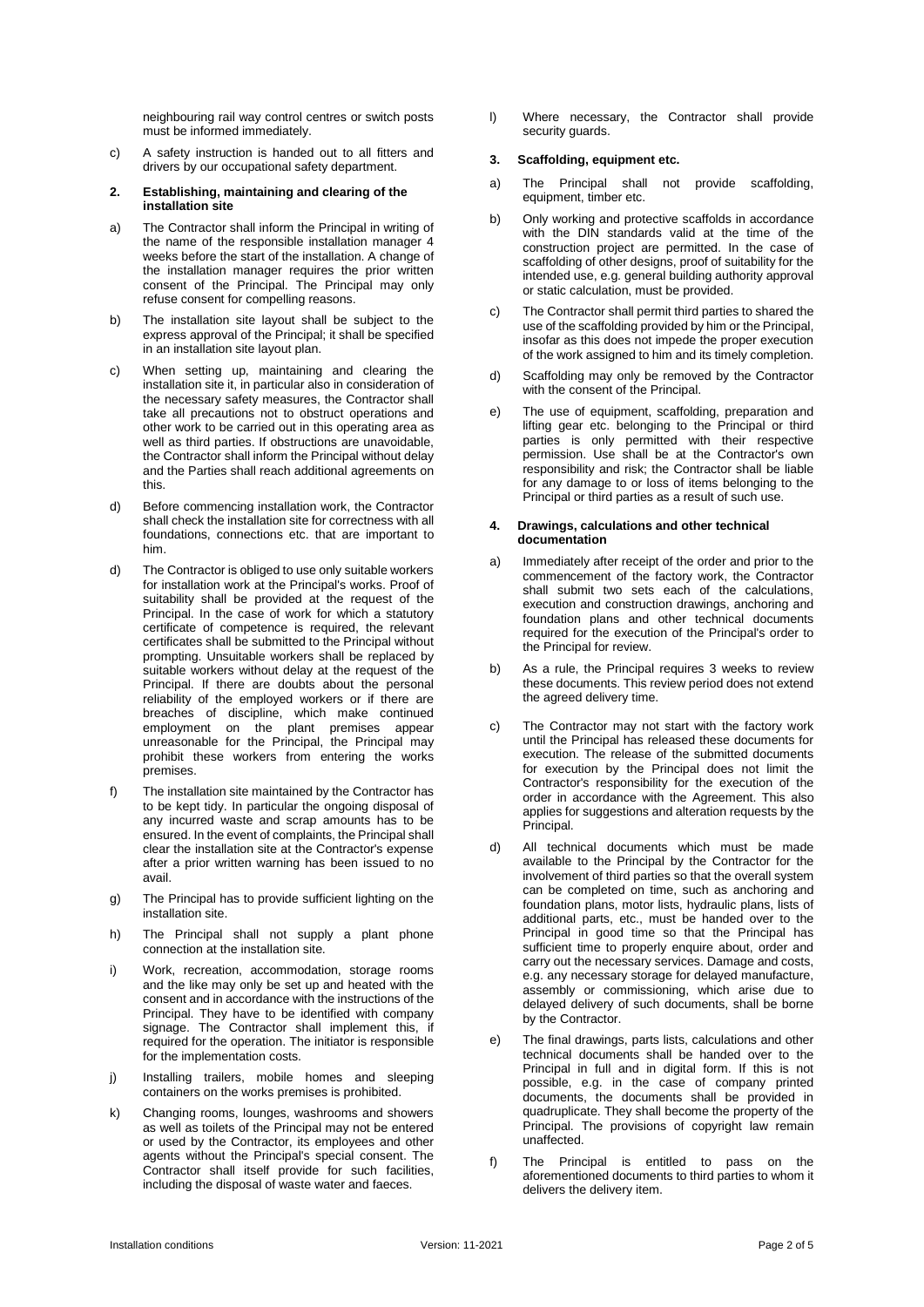neighbouring rail way control centres or switch posts must be informed immediately.

- c) A safety instruction is handed out to all fitters and drivers by our occupational safety department.
- **2. Establishing, maintaining and clearing of the installation site**
- a) The Contractor shall inform the Principal in writing of the name of the responsible installation manager 4 weeks before the start of the installation. A change of the installation manager requires the prior written consent of the Principal. The Principal may only refuse consent for compelling reasons.
- b) The installation site layout shall be subject to the express approval of the Principal; it shall be specified in an installation site layout plan.
- c) When setting up, maintaining and clearing the installation site it, in particular also in consideration of the necessary safety measures, the Contractor shall take all precautions not to obstruct operations and other work to be carried out in this operating area as well as third parties. If obstructions are unavoidable, the Contractor shall inform the Principal without delay and the Parties shall reach additional agreements on this.
- d) Before commencing installation work, the Contractor shall check the installation site for correctness with all foundations, connections etc. that are important to him.
- d) The Contractor is obliged to use only suitable workers for installation work at the Principal's works. Proof of suitability shall be provided at the request of the Principal. In the case of work for which a statutory certificate of competence is required, the relevant certificates shall be submitted to the Principal without prompting. Unsuitable workers shall be replaced by suitable workers without delay at the request of the Principal. If there are doubts about the personal reliability of the employed workers or if there are breaches of discipline, which make continued employment on the plant premises appear unreasonable for the Principal, the Principal may prohibit these workers from entering the works premises.
- f) The installation site maintained by the Contractor has to be kept tidy. In particular the ongoing disposal of any incurred waste and scrap amounts has to be ensured. In the event of complaints, the Principal shall clear the installation site at the Contractor's expense after a prior written warning has been issued to no avail.
- g) The Principal has to provide sufficient lighting on the installation site.
- h) The Principal shall not supply a plant phone connection at the installation site.
- i) Work, recreation, accommodation, storage rooms and the like may only be set up and heated with the consent and in accordance with the instructions of the Principal. They have to be identified with company signage. The Contractor shall implement this, if required for the operation. The initiator is responsible for the implementation costs.
- j) Installing trailers, mobile homes and sleeping containers on the works premises is prohibited.
- k) Changing rooms, lounges, washrooms and showers as well as toilets of the Principal may not be entered or used by the Contractor, its employees and other agents without the Principal's special consent. The Contractor shall itself provide for such facilities, including the disposal of waste water and faeces.

l) Where necessary, the Contractor shall provide security guards.

# **3. Scaffolding, equipment etc.**

- a) The Principal shall not provide scaffolding, equipment, timber etc.
- b) Only working and protective scaffolds in accordance with the DIN standards valid at the time of the construction project are permitted. In the case of scaffolding of other designs, proof of suitability for the intended use, e.g. general building authority approval or static calculation, must be provided.
- c) The Contractor shall permit third parties to shared the use of the scaffolding provided by him or the Principal, insofar as this does not impede the proper execution of the work assigned to him and its timely completion.
- d) Scaffolding may only be removed by the Contractor with the consent of the Principal.
- e) The use of equipment, scaffolding, preparation and lifting gear etc. belonging to the Principal or third parties is only permitted with their respective permission. Use shall be at the Contractor's own responsibility and risk; the Contractor shall be liable for any damage to or loss of items belonging to the Principal or third parties as a result of such use.

#### **4. Drawings, calculations and other technical documentation**

- a) Immediately after receipt of the order and prior to the commencement of the factory work, the Contractor shall submit two sets each of the calculations, execution and construction drawings, anchoring and foundation plans and other technical documents required for the execution of the Principal's order to the Principal for review.
- b) As a rule, the Principal requires 3 weeks to review these documents. This review period does not extend the agreed delivery time.
- c) The Contractor may not start with the factory work until the Principal has released these documents for execution. The release of the submitted documents for execution by the Principal does not limit the Contractor's responsibility for the execution of the order in accordance with the Agreement. This also applies for suggestions and alteration requests by the Principal.
- d) All technical documents which must be made available to the Principal by the Contractor for the involvement of third parties so that the overall system can be completed on time, such as anchoring and foundation plans, motor lists, hydraulic plans, lists of additional parts, etc., must be handed over to the Principal in good time so that the Principal has sufficient time to properly enquire about, order and carry out the necessary services. Damage and costs, e.g. any necessary storage for delayed manufacture, assembly or commissioning, which arise due to delayed delivery of such documents, shall be borne by the Contractor.
- e) The final drawings, parts lists, calculations and other technical documents shall be handed over to the Principal in full and in digital form. If this is not possible, e.g. in the case of company printed documents, the documents shall be provided in quadruplicate. They shall become the property of the Principal. The provisions of copyright law remain unaffected.
- f) The Principal is entitled to pass on the aforementioned documents to third parties to whom it delivers the delivery item.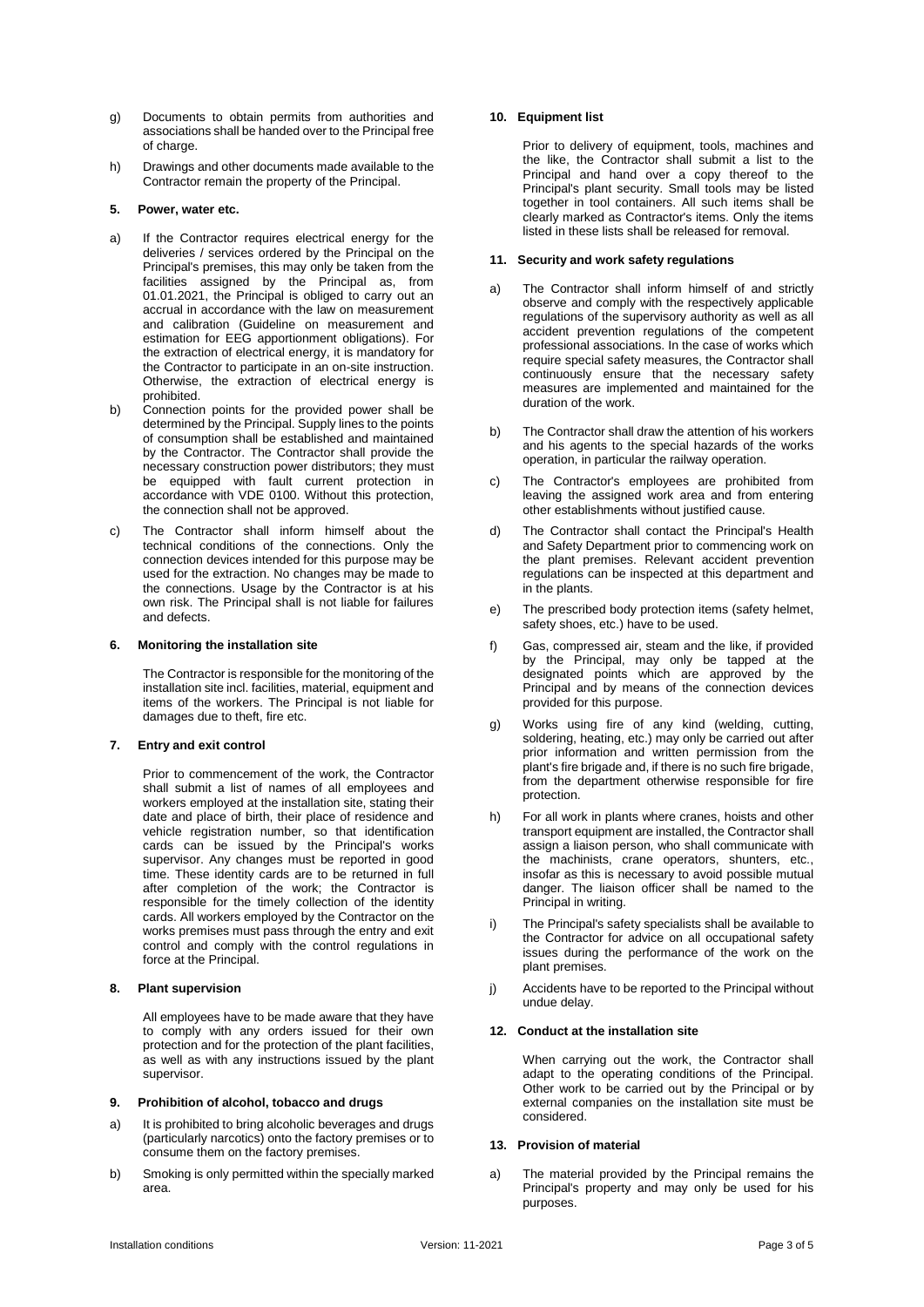- g) Documents to obtain permits from authorities and associations shall be handed over to the Principal free of charge.
- h) Drawings and other documents made available to the Contractor remain the property of the Principal.

# **5. Power, water etc.**

- a) If the Contractor requires electrical energy for the deliveries / services ordered by the Principal on the Principal's premises, this may only be taken from the facilities assigned by the Principal as, from 01.01.2021, the Principal is obliged to carry out an accrual in accordance with the law on measurement and calibration (Guideline on measurement and estimation for EEG apportionment obligations). For the extraction of electrical energy, it is mandatory for the Contractor to participate in an on-site instruction. Otherwise, the extraction of electrical energy is prohibited.
- b) Connection points for the provided power shall be determined by the Principal. Supply lines to the points of consumption shall be established and maintained by the Contractor. The Contractor shall provide the necessary construction power distributors; they must be equipped with fault current protection in accordance with VDE 0100. Without this protection, the connection shall not be approved.
- c) The Contractor shall inform himself about the technical conditions of the connections. Only the connection devices intended for this purpose may be used for the extraction. No changes may be made to the connections. Usage by the Contractor is at his own risk. The Principal shall is not liable for failures and defects.

### **6. Monitoring the installation site**

The Contractor is responsible for the monitoring of the installation site incl. facilities, material, equipment and items of the workers. The Principal is not liable for damages due to theft, fire etc.

### **7. Entry and exit control**

Prior to commencement of the work, the Contractor shall submit a list of names of all employees and workers employed at the installation site, stating their date and place of birth, their place of residence and vehicle registration number, so that identification cards can be issued by the Principal's works supervisor. Any changes must be reported in good time. These identity cards are to be returned in full after completion of the work; the Contractor is responsible for the timely collection of the identity cards. All workers employed by the Contractor on the works premises must pass through the entry and exit control and comply with the control regulations in force at the Principal.

### **8. Plant supervision**

All employees have to be made aware that they have to comply with any orders issued for their own protection and for the protection of the plant facilities, as well as with any instructions issued by the plant supervisor.

#### **9. Prohibition of alcohol, tobacco and drugs**

- a) It is prohibited to bring alcoholic beverages and drugs (particularly narcotics) onto the factory premises or to consume them on the factory premises.
- b) Smoking is only permitted within the specially marked area.

# **10. Equipment list**

Prior to delivery of equipment, tools, machines and the like, the Contractor shall submit a list to the Principal and hand over a copy thereof to the Principal's plant security. Small tools may be listed together in tool containers. All such items shall be clearly marked as Contractor's items. Only the items listed in these lists shall be released for removal.

# **11. Security and work safety regulations**

- a) The Contractor shall inform himself of and strictly observe and comply with the respectively applicable regulations of the supervisory authority as well as all accident prevention regulations of the competent professional associations. In the case of works which require special safety measures, the Contractor shall continuously ensure that the necessary safety measures are implemented and maintained for the duration of the work.
- b) The Contractor shall draw the attention of his workers and his agents to the special hazards of the works operation, in particular the railway operation.
- c) The Contractor's employees are prohibited from leaving the assigned work area and from entering other establishments without justified cause.
- d) The Contractor shall contact the Principal's Health and Safety Department prior to commencing work on the plant premises. Relevant accident prevention regulations can be inspected at this department and in the plants.
- e) The prescribed body protection items (safety helmet, safety shoes, etc.) have to be used.
- f) Gas, compressed air, steam and the like, if provided by the Principal, may only be tapped at the designated points which are approved by the Principal and by means of the connection devices provided for this purpose.
- g) Works using fire of any kind (welding, cutting, soldering, heating, etc.) may only be carried out after prior information and written permission from the plant's fire brigade and, if there is no such fire brigade, from the department otherwise responsible for fire protection.
- h) For all work in plants where cranes, hoists and other transport equipment are installed, the Contractor shall assign a liaison person, who shall communicate with the machinists, crane operators, shunters, etc., insofar as this is necessary to avoid possible mutual danger. The liaison officer shall be named to the Principal in writing.
- i) The Principal's safety specialists shall be available to the Contractor for advice on all occupational safety issues during the performance of the work on the plant premises.
- j) Accidents have to be reported to the Principal without undue delay.

### **12. Conduct at the installation site**

When carrying out the work, the Contractor shall adapt to the operating conditions of the Principal. Other work to be carried out by the Principal or by external companies on the installation site must be considered.

## **13. Provision of material**

a) The material provided by the Principal remains the Principal's property and may only be used for his purposes.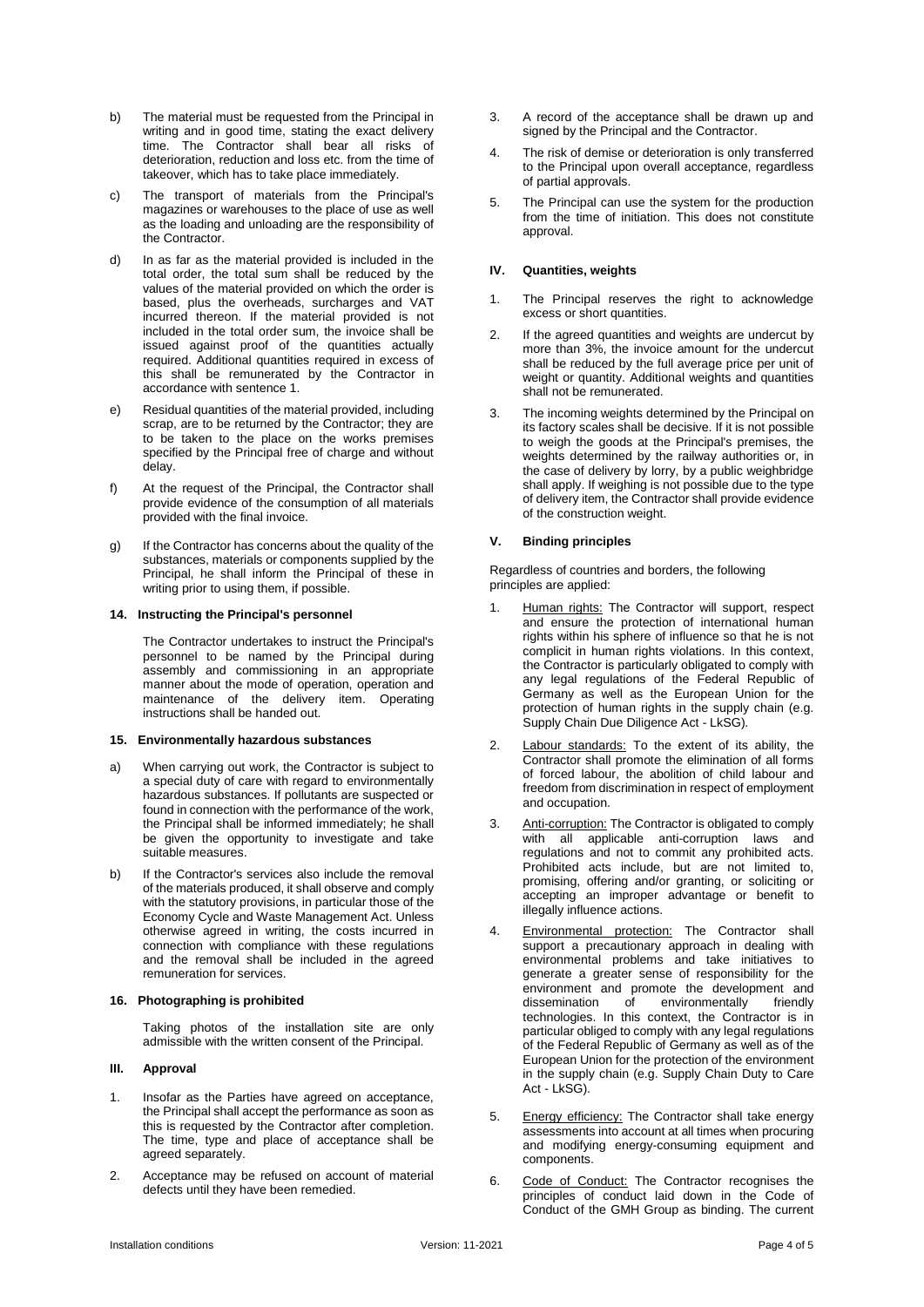- b) The material must be requested from the Principal in writing and in good time, stating the exact delivery time. The Contractor shall bear all risks of deterioration, reduction and loss etc. from the time of takeover, which has to take place immediately.
- c) The transport of materials from the Principal's magazines or warehouses to the place of use as well as the loading and unloading are the responsibility of the Contractor.
- d) In as far as the material provided is included in the total order, the total sum shall be reduced by the values of the material provided on which the order is based, plus the overheads, surcharges and VAT incurred thereon. If the material provided is not included in the total order sum, the invoice shall be issued against proof of the quantities actually required. Additional quantities required in excess of this shall be remunerated by the Contractor in accordance with sentence 1.
- e) Residual quantities of the material provided, including scrap, are to be returned by the Contractor; they are to be taken to the place on the works premises specified by the Principal free of charge and without delay.
- f) At the request of the Principal, the Contractor shall provide evidence of the consumption of all materials provided with the final invoice.
- g) If the Contractor has concerns about the quality of the substances, materials or components supplied by the Principal, he shall inform the Principal of these in writing prior to using them, if possible.

### **14. Instructing the Principal's personnel**

The Contractor undertakes to instruct the Principal's personnel to be named by the Principal during assembly and commissioning in an appropriate manner about the mode of operation, operation and maintenance of the delivery item. Operating instructions shall be handed out.

# **15. Environmentally hazardous substances**

- a) When carrying out work, the Contractor is subject to a special duty of care with regard to environmentally hazardous substances. If pollutants are suspected or found in connection with the performance of the work, the Principal shall be informed immediately; he shall be given the opportunity to investigate and take suitable measures.
- b) If the Contractor's services also include the removal of the materials produced, it shall observe and comply with the statutory provisions, in particular those of the Economy Cycle and Waste Management Act. Unless otherwise agreed in writing, the costs incurred in connection with compliance with these regulations and the removal shall be included in the agreed remuneration for services.

### **16. Photographing is prohibited**

Taking photos of the installation site are only admissible with the written consent of the Principal.

# **III. Approval**

- 1. Insofar as the Parties have agreed on acceptance, the Principal shall accept the performance as soon as this is requested by the Contractor after completion. The time, type and place of acceptance shall be agreed separately.
- 2. Acceptance may be refused on account of material defects until they have been remedied.
- 3. A record of the acceptance shall be drawn up and signed by the Principal and the Contractor.
- 4. The risk of demise or deterioration is only transferred to the Principal upon overall acceptance, regardless of partial approvals.
- 5. The Principal can use the system for the production from the time of initiation. This does not constitute approval.

# **IV. Quantities, weights**

- 1. The Principal reserves the right to acknowledge excess or short quantities.
- 2. If the agreed quantities and weights are undercut by more than 3%, the invoice amount for the undercut shall be reduced by the full average price per unit of weight or quantity. Additional weights and quantities shall not be remunerated.
- 3. The incoming weights determined by the Principal on its factory scales shall be decisive. If it is not possible to weigh the goods at the Principal's premises, the weights determined by the railway authorities or, in the case of delivery by lorry, by a public weighbridge shall apply. If weighing is not possible due to the type of delivery item, the Contractor shall provide evidence of the construction weight.

# **V. Binding principles**

Regardless of countries and borders, the following principles are applied:

- Human rights: The Contractor will support, respect and ensure the protection of international human rights within his sphere of influence so that he is not complicit in human rights violations. In this context, the Contractor is particularly obligated to comply with any legal regulations of the Federal Republic of Germany as well as the European Union for the protection of human rights in the supply chain (e.g. Supply Chain Due Diligence Act - LkSG).
- 2. Labour standards: To the extent of its ability, the Contractor shall promote the elimination of all forms of forced labour, the abolition of child labour and freedom from discrimination in respect of employment and occupation.
- 3. Anti-corruption: The Contractor is obligated to comply with all applicable anti-corruption laws and regulations and not to commit any prohibited acts. Prohibited acts include, but are not limited to, promising, offering and/or granting, or soliciting or accepting an improper advantage or benefit to illegally influence actions.
- 4. Environmental protection: The Contractor shall support a precautionary approach in dealing with environmental problems and take initiatives to generate a greater sense of responsibility for the environment and promote the development and<br>dissemination of environmentally friendly dissemination of environmentally friendly technologies. In this context, the Contractor is in particular obliged to comply with any legal regulations of the Federal Republic of Germany as well as of the European Union for the protection of the environment in the supply chain (e.g. Supply Chain Duty to Care Act - LkSG).
- 5. Energy efficiency: The Contractor shall take energy assessments into account at all times when procuring and modifying energy-consuming equipment and components.
- 6. Code of Conduct: The Contractor recognises the principles of conduct laid down in the Code of Conduct of the GMH Group as binding. The current